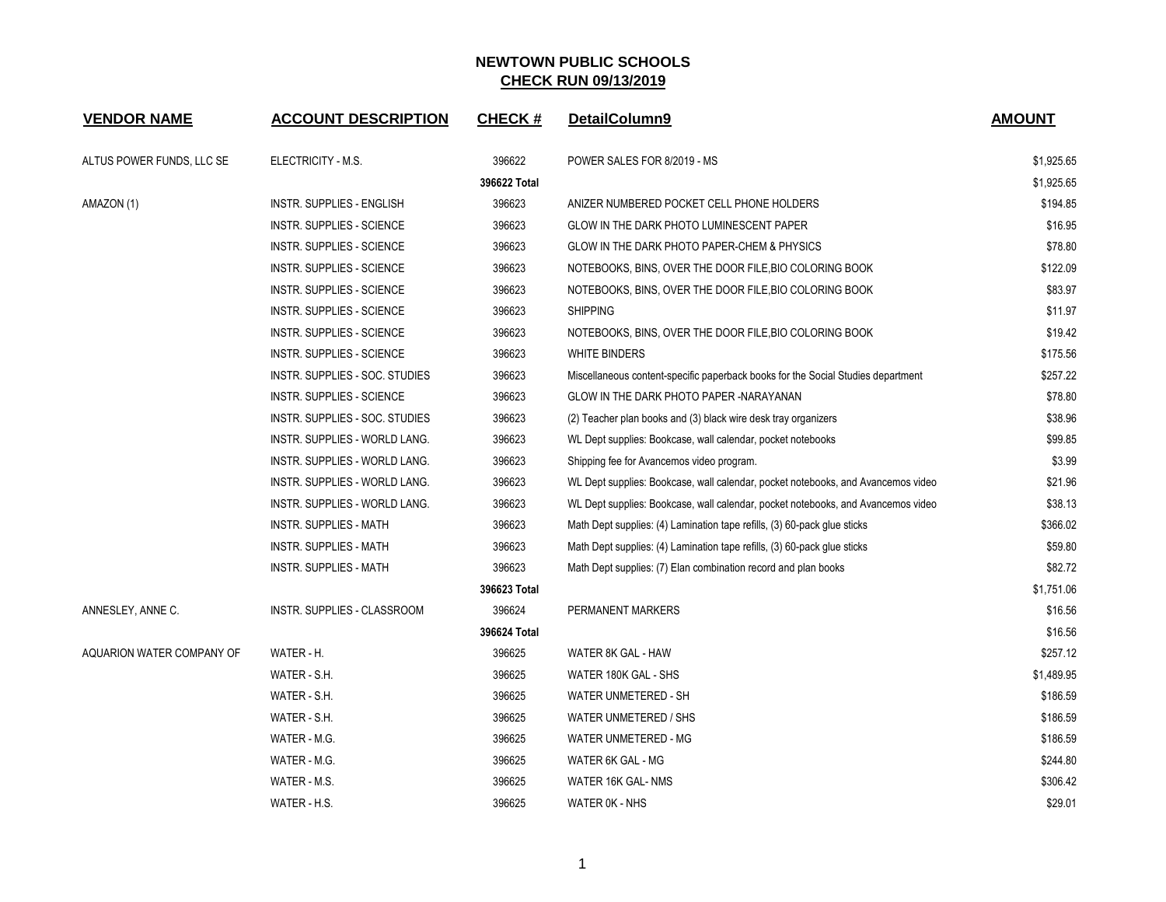| <b>VENDOR NAME</b>        | <b>ACCOUNT DESCRIPTION</b>       | <b>CHECK#</b> | DetailColumn9                                                                    | <b>AMOUNT</b> |
|---------------------------|----------------------------------|---------------|----------------------------------------------------------------------------------|---------------|
| ALTUS POWER FUNDS, LLC SE | ELECTRICITY - M.S.               | 396622        | POWER SALES FOR 8/2019 - MS                                                      | \$1,925.65    |
|                           |                                  | 396622 Total  |                                                                                  | \$1,925.65    |
| AMAZON (1)                | INSTR. SUPPLIES - ENGLISH        | 396623        | ANIZER NUMBERED POCKET CELL PHONE HOLDERS                                        | \$194.85      |
|                           | <b>INSTR. SUPPLIES - SCIENCE</b> | 396623        | GLOW IN THE DARK PHOTO LUMINESCENT PAPER                                         | \$16.95       |
|                           | <b>INSTR. SUPPLIES - SCIENCE</b> | 396623        | GLOW IN THE DARK PHOTO PAPER-CHEM & PHYSICS                                      | \$78.80       |
|                           | <b>INSTR. SUPPLIES - SCIENCE</b> | 396623        | NOTEBOOKS, BINS, OVER THE DOOR FILE, BIO COLORING BOOK                           | \$122.09      |
|                           | INSTR. SUPPLIES - SCIENCE        | 396623        | NOTEBOOKS, BINS, OVER THE DOOR FILE, BIO COLORING BOOK                           | \$83.97       |
|                           | INSTR. SUPPLIES - SCIENCE        | 396623        | <b>SHIPPING</b>                                                                  | \$11.97       |
|                           | <b>INSTR. SUPPLIES - SCIENCE</b> | 396623        | NOTEBOOKS, BINS, OVER THE DOOR FILE, BIO COLORING BOOK                           | \$19.42       |
|                           | INSTR. SUPPLIES - SCIENCE        | 396623        | <b>WHITE BINDERS</b>                                                             | \$175.56      |
|                           | INSTR. SUPPLIES - SOC. STUDIES   | 396623        | Miscellaneous content-specific paperback books for the Social Studies department | \$257.22      |
|                           | INSTR. SUPPLIES - SCIENCE        | 396623        | GLOW IN THE DARK PHOTO PAPER -NARAYANAN                                          | \$78.80       |
|                           | INSTR. SUPPLIES - SOC. STUDIES   | 396623        | (2) Teacher plan books and (3) black wire desk tray organizers                   | \$38.96       |
|                           | INSTR. SUPPLIES - WORLD LANG.    | 396623        | WL Dept supplies: Bookcase, wall calendar, pocket notebooks                      | \$99.85       |
|                           | INSTR. SUPPLIES - WORLD LANG.    | 396623        | Shipping fee for Avancemos video program.                                        | \$3.99        |
|                           | INSTR. SUPPLIES - WORLD LANG.    | 396623        | WL Dept supplies: Bookcase, wall calendar, pocket notebooks, and Avancemos video | \$21.96       |
|                           | INSTR. SUPPLIES - WORLD LANG.    | 396623        | WL Dept supplies: Bookcase, wall calendar, pocket notebooks, and Avancemos video | \$38.13       |
|                           | <b>INSTR. SUPPLIES - MATH</b>    | 396623        | Math Dept supplies: (4) Lamination tape refills, (3) 60-pack glue sticks         | \$366.02      |
|                           | <b>INSTR. SUPPLIES - MATH</b>    | 396623        | Math Dept supplies: (4) Lamination tape refills, (3) 60-pack glue sticks         | \$59.80       |
|                           | <b>INSTR. SUPPLIES - MATH</b>    | 396623        | Math Dept supplies: (7) Elan combination record and plan books                   | \$82.72       |
|                           |                                  | 396623 Total  |                                                                                  | \$1,751.06    |
| ANNESLEY, ANNE C.         | INSTR. SUPPLIES - CLASSROOM      | 396624        | PERMANENT MARKERS                                                                | \$16.56       |
|                           |                                  | 396624 Total  |                                                                                  | \$16.56       |
| AQUARION WATER COMPANY OF | WATER - H.                       | 396625        | WATER 8K GAL - HAW                                                               | \$257.12      |
|                           | WATER - S.H.                     | 396625        | WATER 180K GAL - SHS                                                             | \$1,489.95    |
|                           | WATER - S.H.                     | 396625        | WATER UNMETERED - SH                                                             | \$186.59      |
|                           | WATER - S.H.                     | 396625        | <b>WATER UNMETERED / SHS</b>                                                     | \$186.59      |
|                           | WATER - M.G.                     | 396625        | WATER UNMETERED - MG                                                             | \$186.59      |
|                           | WATER - M.G.                     | 396625        | WATER 6K GAL - MG                                                                | \$244.80      |
|                           | WATER - M.S.                     | 396625        | WATER 16K GAL-NMS                                                                | \$306.42      |
|                           | WATER - H.S.                     | 396625        | WATER OK - NHS                                                                   | \$29.01       |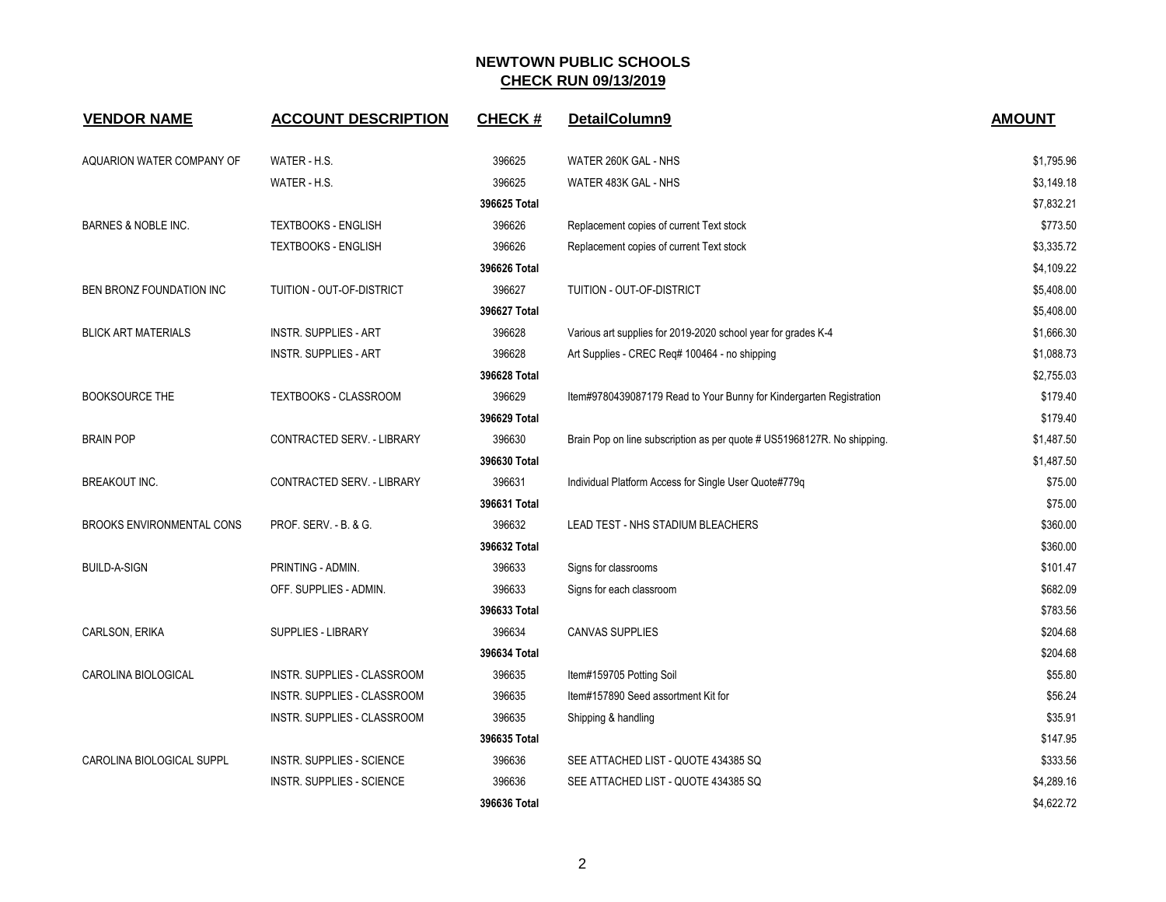| <b>VENDOR NAME</b>               | <b>ACCOUNT DESCRIPTION</b>       | <b>CHECK#</b> | DetailColumn9                                                           | <b>AMOUNT</b> |
|----------------------------------|----------------------------------|---------------|-------------------------------------------------------------------------|---------------|
| AQUARION WATER COMPANY OF        | WATER - H.S.                     | 396625        | WATER 260K GAL - NHS                                                    | \$1,795.96    |
|                                  | WATER - H.S.                     | 396625        | WATER 483K GAL - NHS                                                    | \$3,149.18    |
|                                  |                                  | 396625 Total  |                                                                         | \$7,832.21    |
| <b>BARNES &amp; NOBLE INC.</b>   | <b>TEXTBOOKS - ENGLISH</b>       | 396626        | Replacement copies of current Text stock                                | \$773.50      |
|                                  | <b>TEXTBOOKS - ENGLISH</b>       | 396626        | Replacement copies of current Text stock                                | \$3,335.72    |
|                                  |                                  | 396626 Total  |                                                                         | \$4,109.22    |
| BEN BRONZ FOUNDATION INC         | TUITION - OUT-OF-DISTRICT        | 396627        | TUITION - OUT-OF-DISTRICT                                               | \$5,408.00    |
|                                  |                                  | 396627 Total  |                                                                         | \$5,408.00    |
| <b>BLICK ART MATERIALS</b>       | <b>INSTR. SUPPLIES - ART</b>     | 396628        | Various art supplies for 2019-2020 school year for grades K-4           | \$1,666.30    |
|                                  | <b>INSTR. SUPPLIES - ART</b>     | 396628        | Art Supplies - CREC Reg# 100464 - no shipping                           | \$1,088.73    |
|                                  |                                  | 396628 Total  |                                                                         | \$2,755.03    |
| <b>BOOKSOURCE THE</b>            | <b>TEXTBOOKS - CLASSROOM</b>     | 396629        | Item#9780439087179 Read to Your Bunny for Kindergarten Registration     | \$179.40      |
|                                  |                                  | 396629 Total  |                                                                         | \$179.40      |
| <b>BRAIN POP</b>                 | CONTRACTED SERV. - LIBRARY       | 396630        | Brain Pop on line subscription as per quote # US51968127R. No shipping. | \$1,487.50    |
|                                  |                                  | 396630 Total  |                                                                         | \$1,487.50    |
| BREAKOUT INC.                    | CONTRACTED SERV. - LIBRARY       | 396631        | Individual Platform Access for Single User Quote#779q                   | \$75.00       |
|                                  |                                  | 396631 Total  |                                                                         | \$75.00       |
| <b>BROOKS ENVIRONMENTAL CONS</b> | PROF. SERV. - B. & G.            | 396632        | LEAD TEST - NHS STADIUM BLEACHERS                                       | \$360.00      |
|                                  |                                  | 396632 Total  |                                                                         | \$360.00      |
| <b>BUILD-A-SIGN</b>              | PRINTING - ADMIN.                | 396633        | Signs for classrooms                                                    | \$101.47      |
|                                  | OFF. SUPPLIES - ADMIN.           | 396633        | Signs for each classroom                                                | \$682.09      |
|                                  |                                  | 396633 Total  |                                                                         | \$783.56      |
| CARLSON, ERIKA                   | SUPPLIES - LIBRARY               | 396634        | <b>CANVAS SUPPLIES</b>                                                  | \$204.68      |
|                                  |                                  | 396634 Total  |                                                                         | \$204.68      |
| CAROLINA BIOLOGICAL              | INSTR. SUPPLIES - CLASSROOM      | 396635        | Item#159705 Potting Soil                                                | \$55.80       |
|                                  | INSTR. SUPPLIES - CLASSROOM      | 396635        | Item#157890 Seed assortment Kit for                                     | \$56.24       |
|                                  | INSTR. SUPPLIES - CLASSROOM      | 396635        | Shipping & handling                                                     | \$35.91       |
|                                  |                                  | 396635 Total  |                                                                         | \$147.95      |
| CAROLINA BIOLOGICAL SUPPL        | INSTR. SUPPLIES - SCIENCE        | 396636        | SEE ATTACHED LIST - QUOTE 434385 SQ                                     | \$333.56      |
|                                  | <b>INSTR. SUPPLIES - SCIENCE</b> | 396636        | SEE ATTACHED LIST - QUOTE 434385 SQ                                     | \$4,289.16    |
|                                  |                                  | 396636 Total  |                                                                         | \$4,622.72    |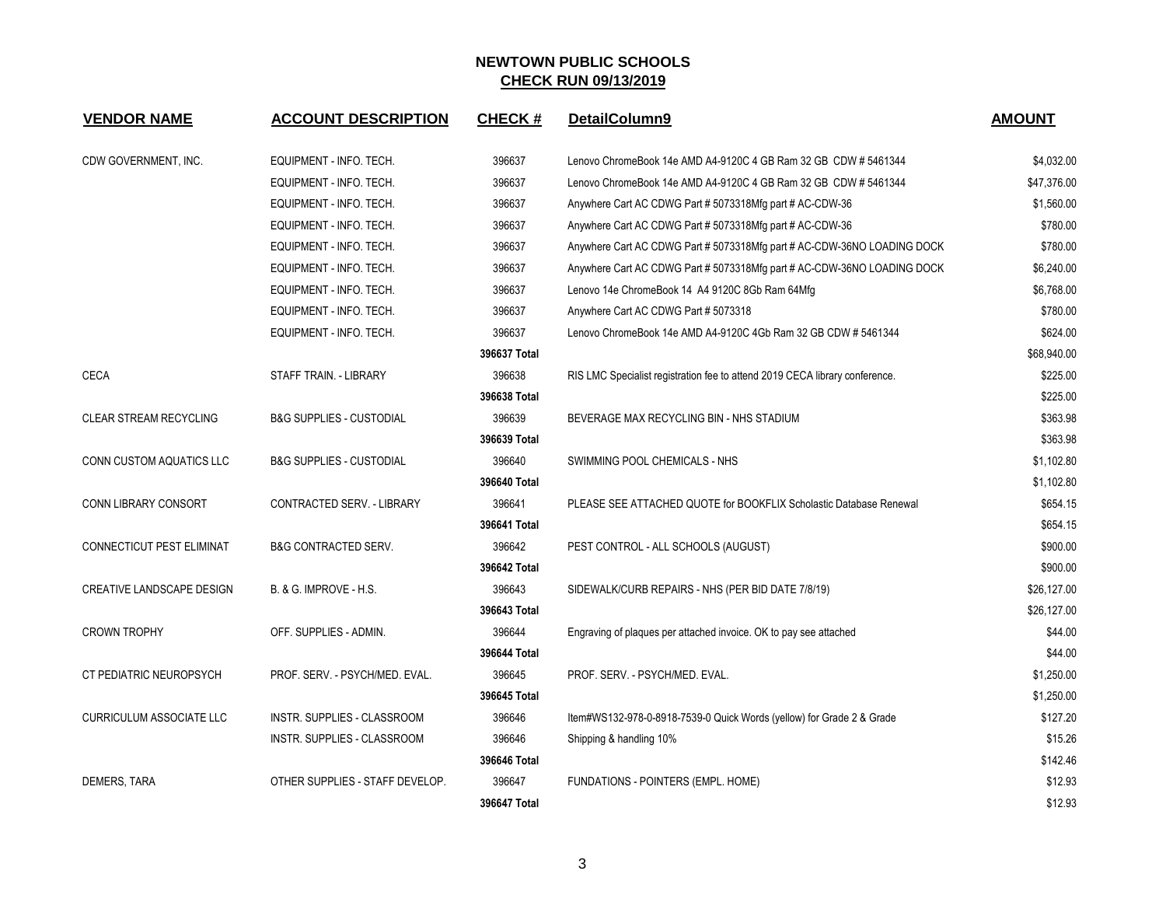| <b>VENDOR NAME</b>              | <b>ACCOUNT DESCRIPTION</b>          | <b>CHECK#</b> | DetailColumn9                                                               | <b>AMOUNT</b> |
|---------------------------------|-------------------------------------|---------------|-----------------------------------------------------------------------------|---------------|
| CDW GOVERNMENT, INC.            | EQUIPMENT - INFO. TECH.             | 396637        | Lenovo ChromeBook 14e AMD A4-9120C 4 GB Ram 32 GB CDW # 5461344             | \$4,032.00    |
|                                 | EQUIPMENT - INFO. TECH.             | 396637        | Lenovo ChromeBook 14e AMD A4-9120C 4 GB Ram 32 GB CDW # 5461344             | \$47,376.00   |
|                                 | EQUIPMENT - INFO. TECH.             | 396637        | Anywhere Cart AC CDWG Part # 5073318Mfg part # AC-CDW-36                    | \$1,560.00    |
|                                 | EQUIPMENT - INFO. TECH.             | 396637        | Anywhere Cart AC CDWG Part # 5073318Mfg part # AC-CDW-36                    | \$780.00      |
|                                 | EQUIPMENT - INFO. TECH.             | 396637        | Anywhere Cart AC CDWG Part # 5073318Mfg part # AC-CDW-36NO LOADING DOCK     | \$780.00      |
|                                 | EQUIPMENT - INFO. TECH.             | 396637        | Anywhere Cart AC CDWG Part # 5073318Mfg part # AC-CDW-36NO LOADING DOCK     | \$6,240.00    |
|                                 | EQUIPMENT - INFO. TECH.             | 396637        | Lenovo 14e ChromeBook 14 A4 9120C 8Gb Ram 64Mfg                             | \$6,768.00    |
|                                 | EQUIPMENT - INFO. TECH.             | 396637        | Anywhere Cart AC CDWG Part # 5073318                                        | \$780.00      |
|                                 | EQUIPMENT - INFO. TECH.             | 396637        | Lenovo ChromeBook 14e AMD A4-9120C 4Gb Ram 32 GB CDW # 5461344              | \$624.00      |
|                                 |                                     | 396637 Total  |                                                                             | \$68,940.00   |
| <b>CECA</b>                     | STAFF TRAIN. - LIBRARY              | 396638        | RIS LMC Specialist registration fee to attend 2019 CECA library conference. | \$225.00      |
|                                 |                                     | 396638 Total  |                                                                             | \$225.00      |
| CLEAR STREAM RECYCLING          | <b>B&amp;G SUPPLIES - CUSTODIAL</b> | 396639        | BEVERAGE MAX RECYCLING BIN - NHS STADIUM                                    | \$363.98      |
|                                 |                                     | 396639 Total  |                                                                             | \$363.98      |
| <b>CONN CUSTOM AQUATICS LLC</b> | <b>B&amp;G SUPPLIES - CUSTODIAL</b> | 396640        | SWIMMING POOL CHEMICALS - NHS                                               | \$1,102.80    |
|                                 |                                     | 396640 Total  |                                                                             | \$1,102.80    |
| CONN LIBRARY CONSORT            | CONTRACTED SERV. - LIBRARY          | 396641        | PLEASE SEE ATTACHED QUOTE for BOOKFLIX Scholastic Database Renewal          | \$654.15      |
|                                 |                                     | 396641 Total  |                                                                             | \$654.15      |
| CONNECTICUT PEST ELIMINAT       | <b>B&amp;G CONTRACTED SERV.</b>     | 396642        | PEST CONTROL - ALL SCHOOLS (AUGUST)                                         | \$900.00      |
|                                 |                                     | 396642 Total  |                                                                             | \$900.00      |
| CREATIVE LANDSCAPE DESIGN       | B. & G. IMPROVE - H.S.              | 396643        | SIDEWALK/CURB REPAIRS - NHS (PER BID DATE 7/8/19)                           | \$26,127.00   |
|                                 |                                     | 396643 Total  |                                                                             | \$26,127.00   |
| <b>CROWN TROPHY</b>             | OFF. SUPPLIES - ADMIN.              | 396644        | Engraving of plaques per attached invoice. OK to pay see attached           | \$44.00       |
|                                 |                                     | 396644 Total  |                                                                             | \$44.00       |
| CT PEDIATRIC NEUROPSYCH         | PROF. SERV. - PSYCH/MED. EVAL.      | 396645        | PROF. SERV. - PSYCH/MED. EVAL.                                              | \$1,250.00    |
|                                 |                                     | 396645 Total  |                                                                             | \$1,250.00    |
| <b>CURRICULUM ASSOCIATE LLC</b> | INSTR. SUPPLIES - CLASSROOM         | 396646        | Item#WS132-978-0-8918-7539-0 Quick Words (yellow) for Grade 2 & Grade       | \$127.20      |
|                                 | INSTR. SUPPLIES - CLASSROOM         | 396646        | Shipping & handling 10%                                                     | \$15.26       |
|                                 |                                     | 396646 Total  |                                                                             | \$142.46      |
| DEMERS, TARA                    | OTHER SUPPLIES - STAFF DEVELOP.     | 396647        | FUNDATIONS - POINTERS (EMPL. HOME)                                          | \$12.93       |
|                                 |                                     | 396647 Total  |                                                                             | \$12.93       |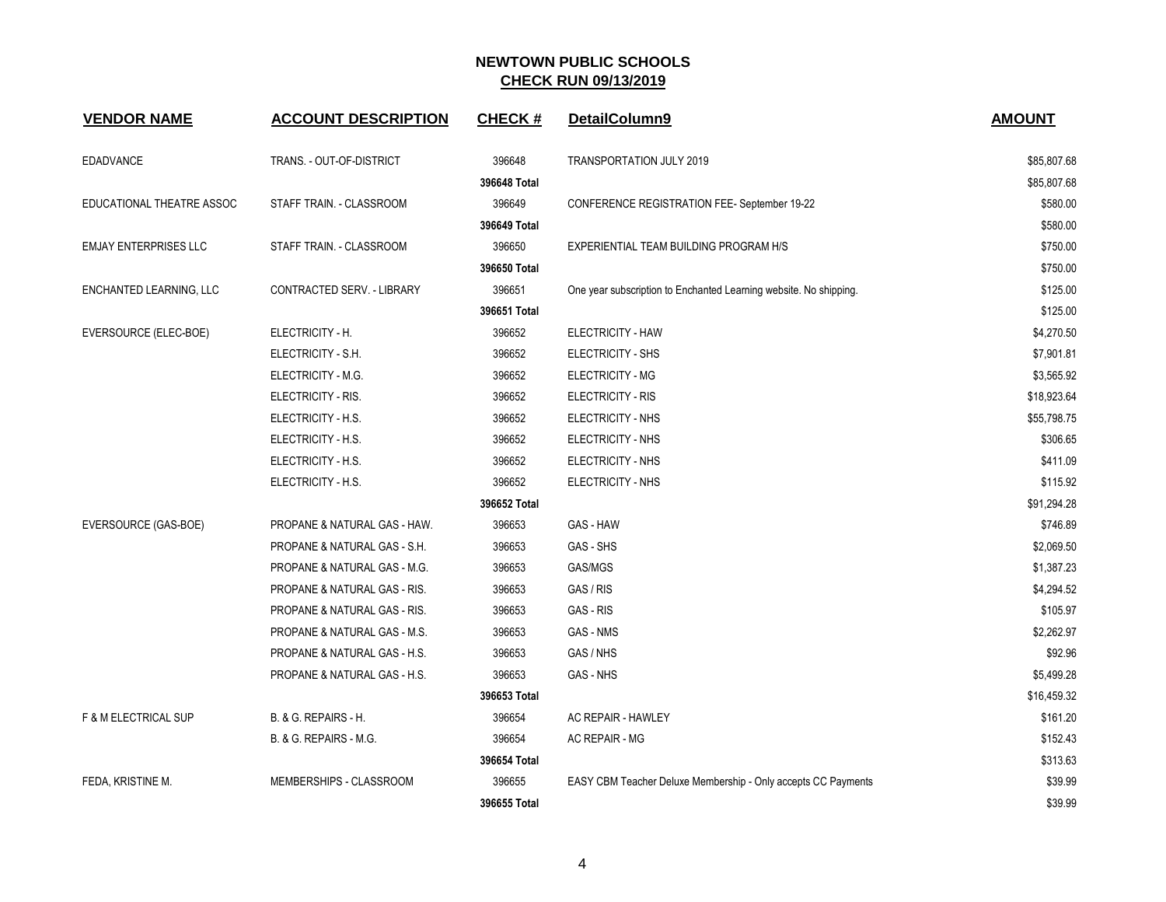| <b>VENDOR NAME</b>           | <b>ACCOUNT DESCRIPTION</b>   | <b>CHECK#</b> | DetailColumn9                                                     | <b>AMOUNT</b> |
|------------------------------|------------------------------|---------------|-------------------------------------------------------------------|---------------|
| <b>EDADVANCE</b>             | TRANS. - OUT-OF-DISTRICT     | 396648        | TRANSPORTATION JULY 2019                                          | \$85,807.68   |
|                              |                              | 396648 Total  |                                                                   | \$85,807.68   |
| EDUCATIONAL THEATRE ASSOC    | STAFF TRAIN. - CLASSROOM     | 396649        | <b>CONFERENCE REGISTRATION FEE- September 19-22</b>               | \$580.00      |
|                              |                              | 396649 Total  |                                                                   | \$580.00      |
| <b>EMJAY ENTERPRISES LLC</b> | STAFF TRAIN. - CLASSROOM     | 396650        | EXPERIENTIAL TEAM BUILDING PROGRAM H/S                            | \$750.00      |
|                              |                              | 396650 Total  |                                                                   | \$750.00      |
| ENCHANTED LEARNING, LLC      | CONTRACTED SERV. - LIBRARY   | 396651        | One year subscription to Enchanted Learning website. No shipping. | \$125.00      |
|                              |                              | 396651 Total  |                                                                   | \$125.00      |
| EVERSOURCE (ELEC-BOE)        | ELECTRICITY - H.             | 396652        | ELECTRICITY - HAW                                                 | \$4,270.50    |
|                              | ELECTRICITY - S.H.           | 396652        | ELECTRICITY - SHS                                                 | \$7,901.81    |
|                              | ELECTRICITY - M.G.           | 396652        | ELECTRICITY - MG                                                  | \$3,565.92    |
|                              | ELECTRICITY - RIS.           | 396652        | ELECTRICITY - RIS                                                 | \$18,923.64   |
|                              | ELECTRICITY - H.S.           | 396652        | ELECTRICITY - NHS                                                 | \$55,798.75   |
|                              | ELECTRICITY - H.S.           | 396652        | ELECTRICITY - NHS                                                 | \$306.65      |
|                              | ELECTRICITY - H.S.           | 396652        | ELECTRICITY - NHS                                                 | \$411.09      |
|                              | ELECTRICITY - H.S.           | 396652        | ELECTRICITY - NHS                                                 | \$115.92      |
|                              |                              | 396652 Total  |                                                                   | \$91,294.28   |
| EVERSOURCE (GAS-BOE)         | PROPANE & NATURAL GAS - HAW. | 396653        | GAS - HAW                                                         | \$746.89      |
|                              | PROPANE & NATURAL GAS - S.H. | 396653        | GAS - SHS                                                         | \$2,069.50    |
|                              | PROPANE & NATURAL GAS - M.G. | 396653        | GAS/MGS                                                           | \$1,387.23    |
|                              | PROPANE & NATURAL GAS - RIS. | 396653        | GAS / RIS                                                         | \$4,294.52    |
|                              | PROPANE & NATURAL GAS - RIS. | 396653        | GAS - RIS                                                         | \$105.97      |
|                              | PROPANE & NATURAL GAS - M.S. | 396653        | <b>GAS - NMS</b>                                                  | \$2,262.97    |
|                              | PROPANE & NATURAL GAS - H.S. | 396653        | GAS / NHS                                                         | \$92.96       |
|                              | PROPANE & NATURAL GAS - H.S. | 396653        | GAS - NHS                                                         | \$5,499.28    |
|                              |                              | 396653 Total  |                                                                   | \$16,459.32   |
| F & M ELECTRICAL SUP         | B. & G. REPAIRS - H.         | 396654        | AC REPAIR - HAWLEY                                                | \$161.20      |
|                              | B. & G. REPAIRS - M.G.       | 396654        | AC REPAIR - MG                                                    | \$152.43      |
|                              |                              | 396654 Total  |                                                                   | \$313.63      |
| FEDA, KRISTINE M.            | MEMBERSHIPS - CLASSROOM      | 396655        | EASY CBM Teacher Deluxe Membership - Only accepts CC Payments     | \$39.99       |
|                              |                              | 396655 Total  |                                                                   | \$39.99       |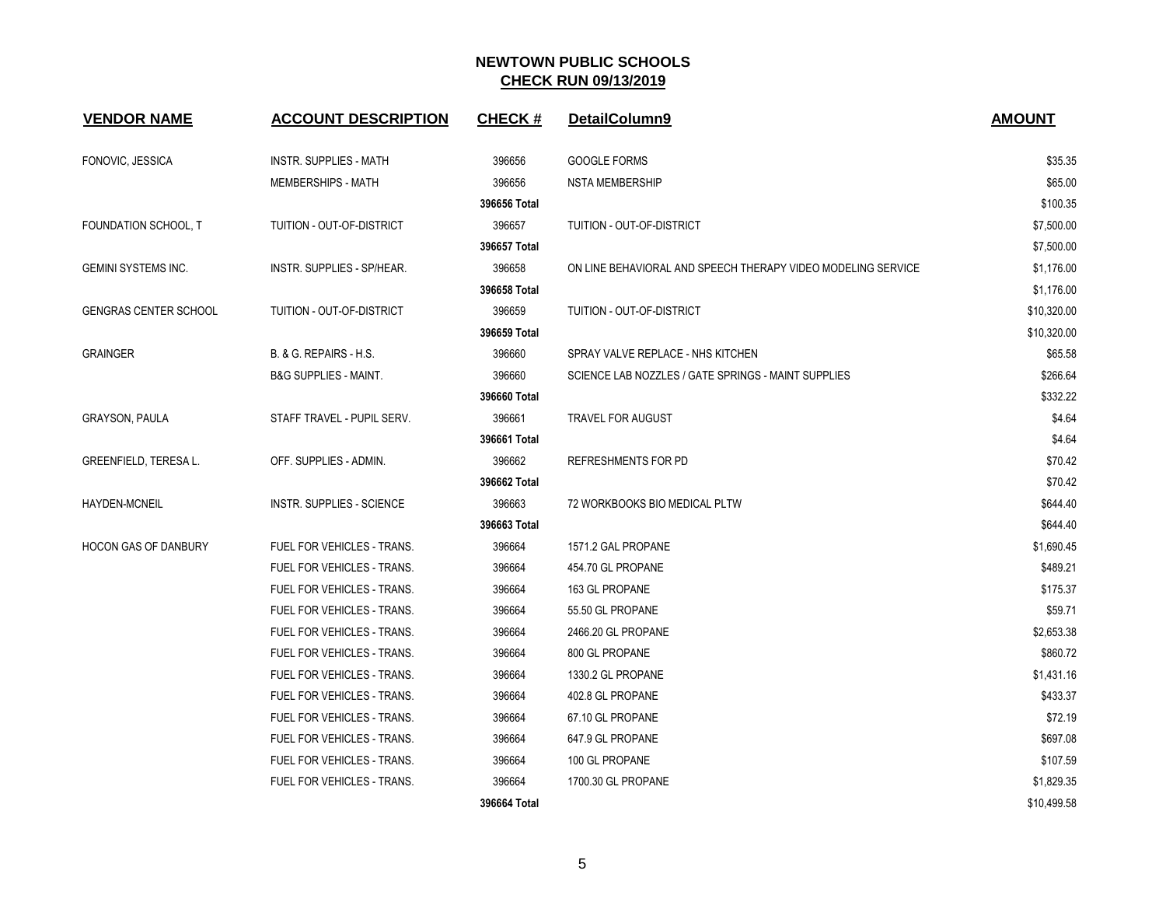| <b>VENDOR NAME</b>           | <b>ACCOUNT DESCRIPTION</b>        | <b>CHECK#</b> | DetailColumn9                                                | <b>AMOUNT</b> |
|------------------------------|-----------------------------------|---------------|--------------------------------------------------------------|---------------|
| FONOVIC, JESSICA             | <b>INSTR. SUPPLIES - MATH</b>     | 396656        | <b>GOOGLE FORMS</b>                                          | \$35.35       |
|                              | <b>MEMBERSHIPS - MATH</b>         | 396656        | <b>NSTA MEMBERSHIP</b>                                       | \$65.00       |
|                              |                                   | 396656 Total  |                                                              | \$100.35      |
| FOUNDATION SCHOOL, T         | TUITION - OUT-OF-DISTRICT         | 396657        | TUITION - OUT-OF-DISTRICT                                    | \$7,500.00    |
|                              |                                   | 396657 Total  |                                                              | \$7,500.00    |
| <b>GEMINI SYSTEMS INC.</b>   | INSTR. SUPPLIES - SP/HEAR.        | 396658        | ON LINE BEHAVIORAL AND SPEECH THERAPY VIDEO MODELING SERVICE | \$1,176.00    |
|                              |                                   | 396658 Total  |                                                              | \$1,176.00    |
| <b>GENGRAS CENTER SCHOOL</b> | <b>TUITION - OUT-OF-DISTRICT</b>  | 396659        | <b>TUITION - OUT-OF-DISTRICT</b>                             | \$10,320.00   |
|                              |                                   | 396659 Total  |                                                              | \$10,320.00   |
| <b>GRAINGER</b>              | B. & G. REPAIRS - H.S.            | 396660        | SPRAY VALVE REPLACE - NHS KITCHEN                            | \$65.58       |
|                              | <b>B&amp;G SUPPLIES - MAINT.</b>  | 396660        | SCIENCE LAB NOZZLES / GATE SPRINGS - MAINT SUPPLIES          | \$266.64      |
|                              |                                   | 396660 Total  |                                                              | \$332.22      |
| <b>GRAYSON, PAULA</b>        | STAFF TRAVEL - PUPIL SERV.        | 396661        | <b>TRAVEL FOR AUGUST</b>                                     | \$4.64        |
|                              |                                   | 396661 Total  |                                                              | \$4.64        |
| GREENFIELD, TERESA L.        | OFF. SUPPLIES - ADMIN.            | 396662        | REFRESHMENTS FOR PD                                          | \$70.42       |
|                              |                                   | 396662 Total  |                                                              | \$70.42       |
| HAYDEN-MCNEIL                | <b>INSTR. SUPPLIES - SCIENCE</b>  | 396663        | 72 WORKBOOKS BIO MEDICAL PLTW                                | \$644.40      |
|                              |                                   | 396663 Total  |                                                              | \$644.40      |
| <b>HOCON GAS OF DANBURY</b>  | FUEL FOR VEHICLES - TRANS.        | 396664        | 1571.2 GAL PROPANE                                           | \$1,690.45    |
|                              | <b>FUEL FOR VEHICLES - TRANS.</b> | 396664        | 454.70 GL PROPANE                                            | \$489.21      |
|                              | FUEL FOR VEHICLES - TRANS.        | 396664        | 163 GL PROPANE                                               | \$175.37      |
|                              | FUEL FOR VEHICLES - TRANS.        | 396664        | 55.50 GL PROPANE                                             | \$59.71       |
|                              | FUEL FOR VEHICLES - TRANS.        | 396664        | 2466.20 GL PROPANE                                           | \$2,653.38    |
|                              | FUEL FOR VEHICLES - TRANS.        | 396664        | 800 GL PROPANE                                               | \$860.72      |
|                              | <b>FUEL FOR VEHICLES - TRANS.</b> | 396664        | 1330.2 GL PROPANE                                            | \$1,431.16    |
|                              | <b>FUEL FOR VEHICLES - TRANS.</b> | 396664        | 402.8 GL PROPANE                                             | \$433.37      |
|                              | FUEL FOR VEHICLES - TRANS.        | 396664        | 67.10 GL PROPANE                                             | \$72.19       |
|                              | FUEL FOR VEHICLES - TRANS.        | 396664        | 647.9 GL PROPANE                                             | \$697.08      |
|                              | FUEL FOR VEHICLES - TRANS.        | 396664        | 100 GL PROPANE                                               | \$107.59      |
|                              | <b>FUEL FOR VEHICLES - TRANS.</b> | 396664        | 1700.30 GL PROPANE                                           | \$1,829.35    |
|                              |                                   | 396664 Total  |                                                              | \$10.499.58   |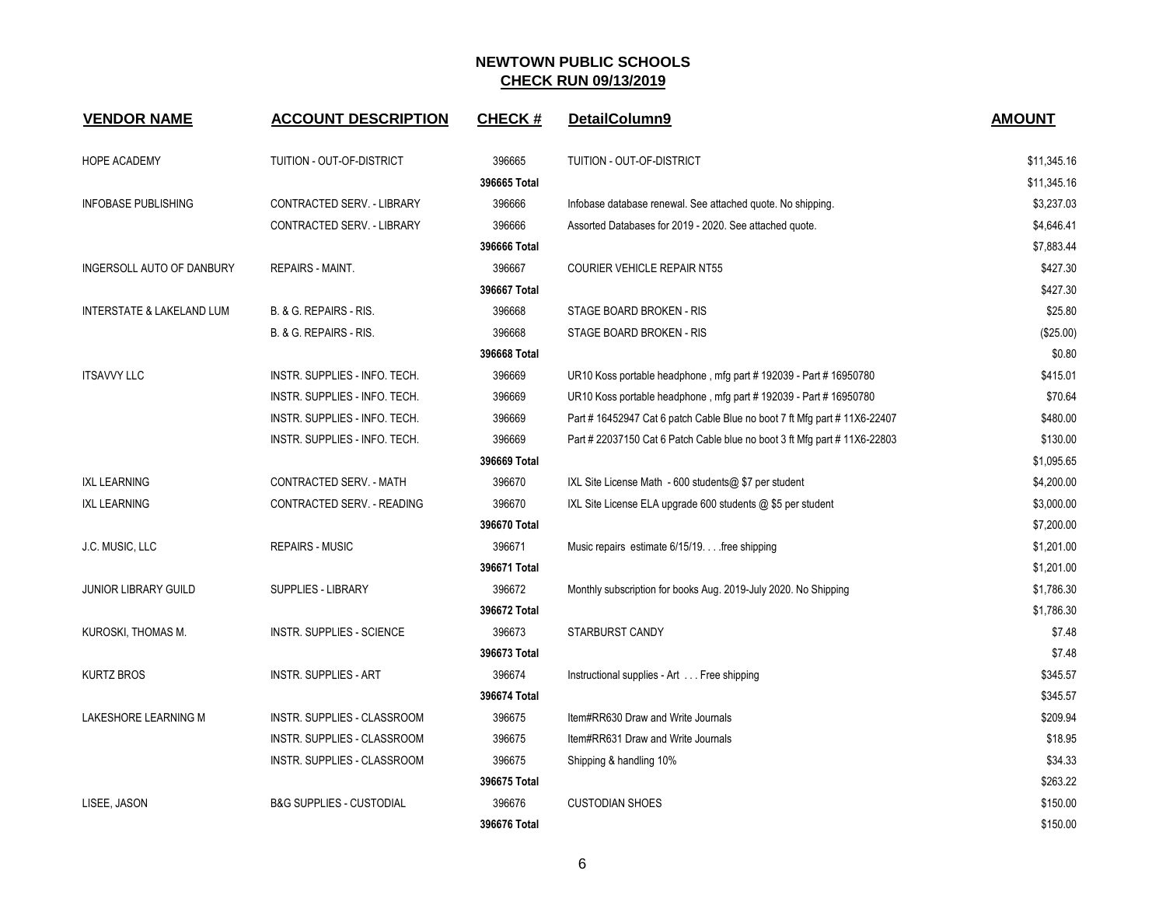| <b>VENDOR NAME</b>               | <b>ACCOUNT DESCRIPTION</b>          | <b>CHECK#</b> | DetailColumn9                                                             | <b>AMOUNT</b> |
|----------------------------------|-------------------------------------|---------------|---------------------------------------------------------------------------|---------------|
| <b>HOPE ACADEMY</b>              | TUITION - OUT-OF-DISTRICT           | 396665        | TUITION - OUT-OF-DISTRICT                                                 | \$11,345.16   |
|                                  |                                     | 396665 Total  |                                                                           | \$11,345.16   |
| <b>INFOBASE PUBLISHING</b>       | CONTRACTED SERV. - LIBRARY          | 396666        | Infobase database renewal. See attached quote. No shipping.               | \$3,237.03    |
|                                  | CONTRACTED SERV. - LIBRARY          | 396666        | Assorted Databases for 2019 - 2020. See attached quote.                   | \$4,646.41    |
|                                  |                                     | 396666 Total  |                                                                           | \$7,883.44    |
| <b>INGERSOLL AUTO OF DANBURY</b> | <b>REPAIRS - MAINT.</b>             | 396667        | <b>COURIER VEHICLE REPAIR NT55</b>                                        | \$427.30      |
|                                  |                                     | 396667 Total  |                                                                           | \$427.30      |
| INTERSTATE & LAKELAND LUM        | B. & G. REPAIRS - RIS.              | 396668        | STAGE BOARD BROKEN - RIS                                                  | \$25.80       |
|                                  | B. & G. REPAIRS - RIS.              | 396668        | STAGE BOARD BROKEN - RIS                                                  | $(\$25.00)$   |
|                                  |                                     | 396668 Total  |                                                                           | \$0.80        |
| <b>ITSAVVY LLC</b>               | INSTR. SUPPLIES - INFO. TECH.       | 396669        | UR10 Koss portable headphone, mfg part #192039 - Part #16950780           | \$415.01      |
|                                  | INSTR. SUPPLIES - INFO. TECH.       | 396669        | UR10 Koss portable headphone, mfg part #192039 - Part #16950780           | \$70.64       |
|                                  | INSTR. SUPPLIES - INFO. TECH.       | 396669        | Part #16452947 Cat 6 patch Cable Blue no boot 7 ft Mfg part #11X6-22407   | \$480.00      |
|                                  | INSTR. SUPPLIES - INFO. TECH.       | 396669        | Part # 22037150 Cat 6 Patch Cable blue no boot 3 ft Mfg part # 11X6-22803 | \$130.00      |
|                                  |                                     | 396669 Total  |                                                                           | \$1,095.65    |
| <b>IXL LEARNING</b>              | CONTRACTED SERV. - MATH             | 396670        | IXL Site License Math - 600 students@ \$7 per student                     | \$4,200.00    |
| <b>IXL LEARNING</b>              | CONTRACTED SERV. - READING          | 396670        | IXL Site License ELA upgrade 600 students $@$ \$5 per student             | \$3,000.00    |
|                                  |                                     | 396670 Total  |                                                                           | \$7,200.00    |
| J.C. MUSIC, LLC                  | <b>REPAIRS - MUSIC</b>              | 396671        | Music repairs estimate 6/15/19. free shipping                             | \$1,201.00    |
|                                  |                                     | 396671 Total  |                                                                           | \$1,201.00    |
| <b>JUNIOR LIBRARY GUILD</b>      | <b>SUPPLIES - LIBRARY</b>           | 396672        | Monthly subscription for books Aug. 2019-July 2020. No Shipping           | \$1,786.30    |
|                                  |                                     | 396672 Total  |                                                                           | \$1,786.30    |
| KUROSKI, THOMAS M.               | <b>INSTR. SUPPLIES - SCIENCE</b>    | 396673        | STARBURST CANDY                                                           | \$7.48        |
|                                  |                                     | 396673 Total  |                                                                           | \$7.48        |
| <b>KURTZ BROS</b>                | <b>INSTR. SUPPLIES - ART</b>        | 396674        | Instructional supplies - Art Free shipping                                | \$345.57      |
|                                  |                                     | 396674 Total  |                                                                           | \$345.57      |
| LAKESHORE LEARNING M             | INSTR. SUPPLIES - CLASSROOM         | 396675        | Item#RR630 Draw and Write Journals                                        | \$209.94      |
|                                  | INSTR. SUPPLIES - CLASSROOM         | 396675        | Item#RR631 Draw and Write Journals                                        | \$18.95       |
|                                  | INSTR. SUPPLIES - CLASSROOM         | 396675        | Shipping & handling 10%                                                   | \$34.33       |
|                                  |                                     | 396675 Total  |                                                                           | \$263.22      |
| LISEE, JASON                     | <b>B&amp;G SUPPLIES - CUSTODIAL</b> | 396676        | <b>CUSTODIAN SHOES</b>                                                    | \$150.00      |
|                                  |                                     | 396676 Total  |                                                                           | \$150.00      |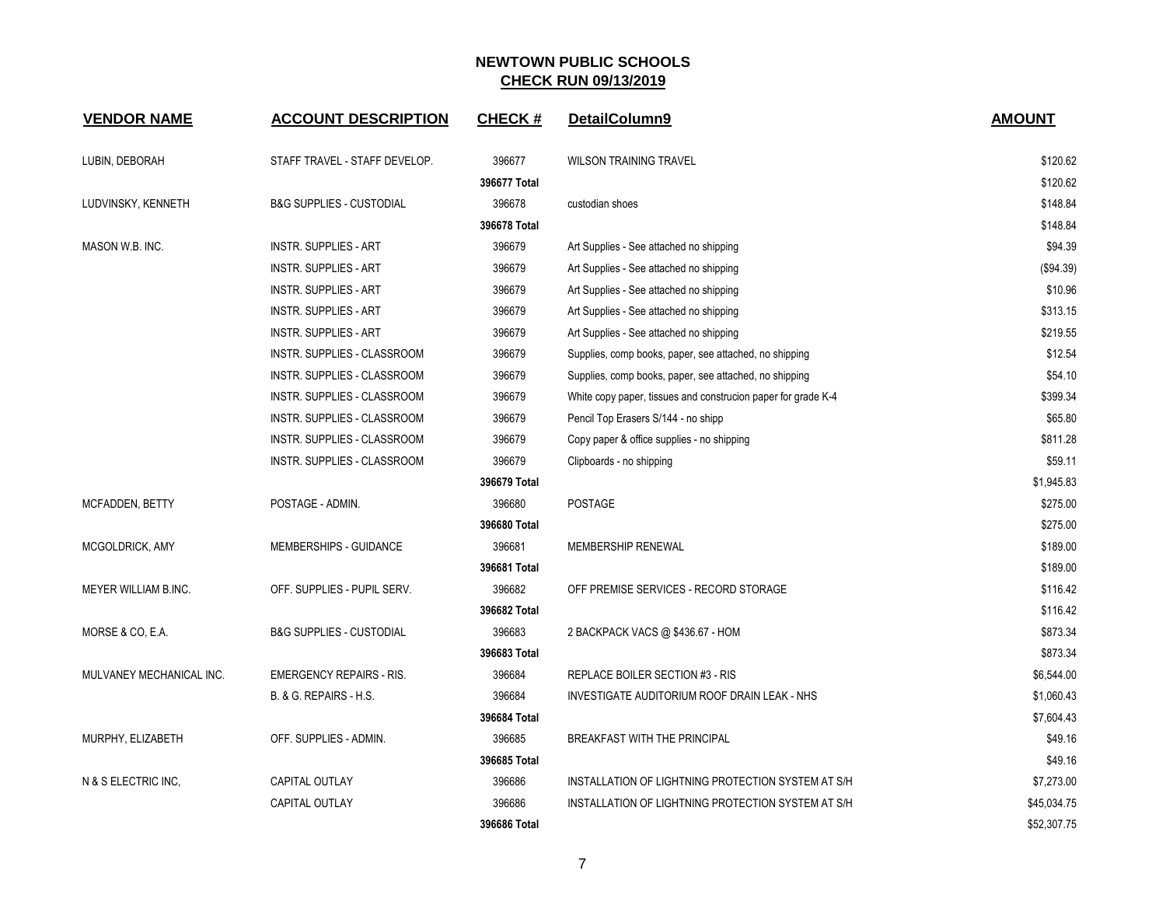| <b>VENDOR NAME</b>       | <b>ACCOUNT DESCRIPTION</b>          | <b>CHECK#</b> | DetailColumn9                                                 | <b>AMOUNT</b> |
|--------------------------|-------------------------------------|---------------|---------------------------------------------------------------|---------------|
| LUBIN, DEBORAH           | STAFF TRAVEL - STAFF DEVELOP.       | 396677        | <b>WILSON TRAINING TRAVEL</b>                                 | \$120.62      |
|                          |                                     | 396677 Total  |                                                               | \$120.62      |
| LUDVINSKY, KENNETH       | <b>B&amp;G SUPPLIES - CUSTODIAL</b> | 396678        | custodian shoes                                               | \$148.84      |
|                          |                                     | 396678 Total  |                                                               | \$148.84      |
| MASON W.B. INC.          | <b>INSTR. SUPPLIES - ART</b>        | 396679        | Art Supplies - See attached no shipping                       | \$94.39       |
|                          | <b>INSTR. SUPPLIES - ART</b>        | 396679        | Art Supplies - See attached no shipping                       | (\$94.39)     |
|                          | <b>INSTR. SUPPLIES - ART</b>        | 396679        | Art Supplies - See attached no shipping                       | \$10.96       |
|                          | <b>INSTR. SUPPLIES - ART</b>        | 396679        | Art Supplies - See attached no shipping                       | \$313.15      |
|                          | <b>INSTR. SUPPLIES - ART</b>        | 396679        | Art Supplies - See attached no shipping                       | \$219.55      |
|                          | INSTR. SUPPLIES - CLASSROOM         | 396679        | Supplies, comp books, paper, see attached, no shipping        | \$12.54       |
|                          | INSTR. SUPPLIES - CLASSROOM         | 396679        | Supplies, comp books, paper, see attached, no shipping        | \$54.10       |
|                          | INSTR. SUPPLIES - CLASSROOM         | 396679        | White copy paper, tissues and construcion paper for grade K-4 | \$399.34      |
|                          | INSTR. SUPPLIES - CLASSROOM         | 396679        | Pencil Top Erasers S/144 - no shipp                           | \$65.80       |
|                          | INSTR. SUPPLIES - CLASSROOM         | 396679        | Copy paper & office supplies - no shipping                    | \$811.28      |
|                          | INSTR. SUPPLIES - CLASSROOM         | 396679        | Clipboards - no shipping                                      | \$59.11       |
|                          |                                     | 396679 Total  |                                                               | \$1,945.83    |
| MCFADDEN, BETTY          | POSTAGE - ADMIN.                    | 396680        | <b>POSTAGE</b>                                                | \$275.00      |
|                          |                                     | 396680 Total  |                                                               | \$275.00      |
| MCGOLDRICK, AMY          | MEMBERSHIPS - GUIDANCE              | 396681        | <b>MEMBERSHIP RENEWAL</b>                                     | \$189.00      |
|                          |                                     | 396681 Total  |                                                               | \$189.00      |
| MEYER WILLIAM B.INC.     | OFF. SUPPLIES - PUPIL SERV.         | 396682        | OFF PREMISE SERVICES - RECORD STORAGE                         | \$116.42      |
|                          |                                     | 396682 Total  |                                                               | \$116.42      |
| MORSE & CO, E.A.         | <b>B&amp;G SUPPLIES - CUSTODIAL</b> | 396683        | 2 BACKPACK VACS @ \$436.67 - HOM                              | \$873.34      |
|                          |                                     | 396683 Total  |                                                               | \$873.34      |
| MULVANEY MECHANICAL INC. | <b>EMERGENCY REPAIRS - RIS.</b>     | 396684        | REPLACE BOILER SECTION #3 - RIS                               | \$6,544.00    |
|                          | B. & G. REPAIRS - H.S.              | 396684        | INVESTIGATE AUDITORIUM ROOF DRAIN LEAK - NHS                  | \$1,060.43    |
|                          |                                     | 396684 Total  |                                                               | \$7,604.43    |
| MURPHY, ELIZABETH        | OFF. SUPPLIES - ADMIN.              | 396685        | BREAKFAST WITH THE PRINCIPAL                                  | \$49.16       |
|                          |                                     | 396685 Total  |                                                               | \$49.16       |
| N & S ELECTRIC INC,      | CAPITAL OUTLAY                      | 396686        | INSTALLATION OF LIGHTNING PROTECTION SYSTEM AT S/H            | \$7,273.00    |
|                          | <b>CAPITAL OUTLAY</b>               | 396686        | INSTALLATION OF LIGHTNING PROTECTION SYSTEM AT S/H            | \$45,034.75   |
|                          |                                     | 396686 Total  |                                                               | \$52,307.75   |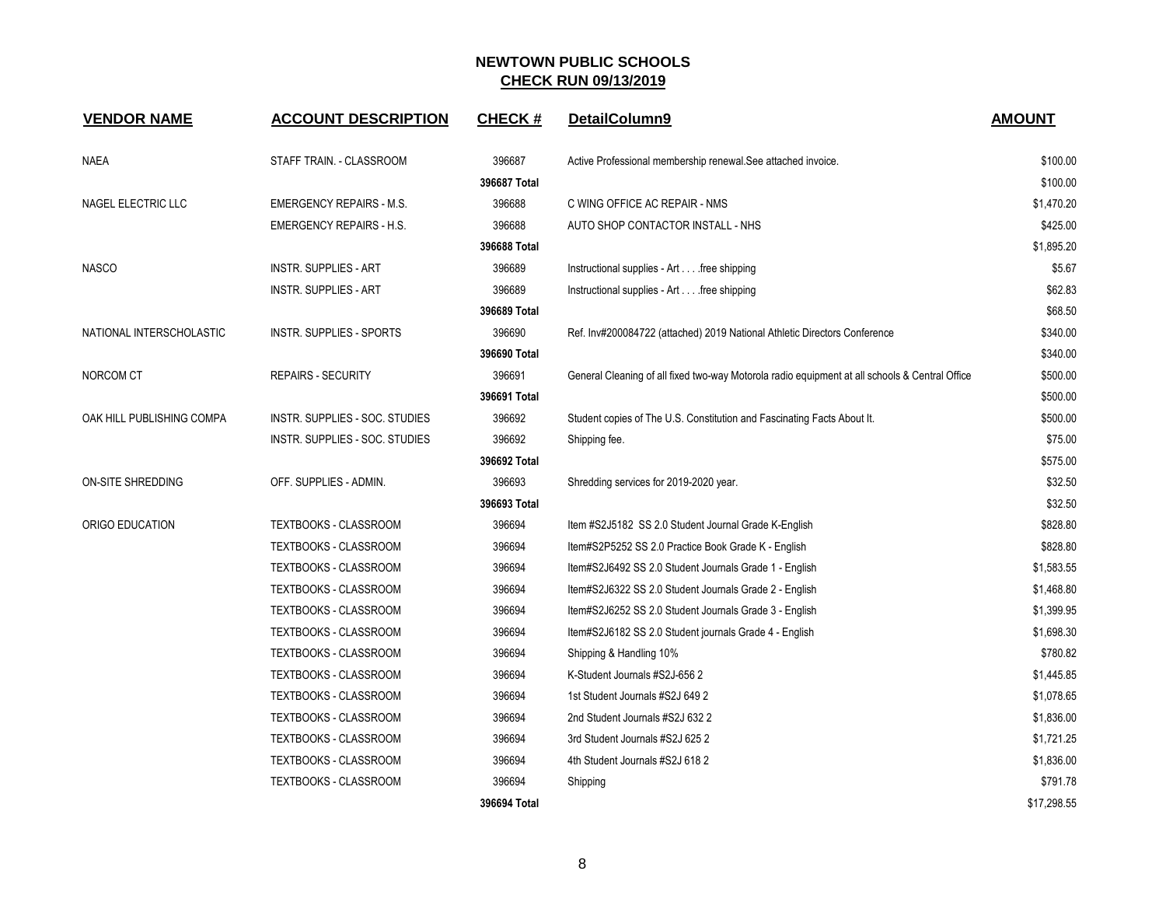| <b>VENDOR NAME</b>        | <b>ACCOUNT DESCRIPTION</b>      | <b>CHECK#</b> | DetailColumn9                                                                                  | <b>AMOUNT</b> |
|---------------------------|---------------------------------|---------------|------------------------------------------------------------------------------------------------|---------------|
| <b>NAEA</b>               | STAFF TRAIN. - CLASSROOM        | 396687        | Active Professional membership renewal. See attached invoice.                                  | \$100.00      |
|                           |                                 | 396687 Total  |                                                                                                | \$100.00      |
| NAGEL ELECTRIC LLC        | <b>EMERGENCY REPAIRS - M.S.</b> | 396688        | C WING OFFICE AC REPAIR - NMS                                                                  | \$1,470.20    |
|                           | <b>EMERGENCY REPAIRS - H.S.</b> | 396688        | AUTO SHOP CONTACTOR INSTALL - NHS                                                              | \$425.00      |
|                           |                                 | 396688 Total  |                                                                                                | \$1,895.20    |
| <b>NASCO</b>              | <b>INSTR. SUPPLIES - ART</b>    | 396689        | Instructional supplies - Art free shipping                                                     | \$5.67        |
|                           | <b>INSTR. SUPPLIES - ART</b>    | 396689        | Instructional supplies - Art free shipping                                                     | \$62.83       |
|                           |                                 | 396689 Total  |                                                                                                | \$68.50       |
| NATIONAL INTERSCHOLASTIC  | <b>INSTR. SUPPLIES - SPORTS</b> | 396690        | Ref. Inv#200084722 (attached) 2019 National Athletic Directors Conference                      | \$340.00      |
|                           |                                 | 396690 Total  |                                                                                                | \$340.00      |
| NORCOM CT                 | <b>REPAIRS - SECURITY</b>       | 396691        | General Cleaning of all fixed two-way Motorola radio equipment at all schools & Central Office | \$500.00      |
|                           |                                 | 396691 Total  |                                                                                                | \$500.00      |
| OAK HILL PUBLISHING COMPA | INSTR. SUPPLIES - SOC. STUDIES  | 396692        | Student copies of The U.S. Constitution and Fascinating Facts About It.                        | \$500.00      |
|                           | INSTR. SUPPLIES - SOC. STUDIES  | 396692        | Shipping fee.                                                                                  | \$75.00       |
|                           |                                 | 396692 Total  |                                                                                                | \$575.00      |
| ON-SITE SHREDDING         | OFF. SUPPLIES - ADMIN.          | 396693        | Shredding services for 2019-2020 year.                                                         | \$32.50       |
|                           |                                 | 396693 Total  |                                                                                                | \$32.50       |
| ORIGO EDUCATION           | TEXTBOOKS - CLASSROOM           | 396694        | Item #S2J5182 SS 2.0 Student Journal Grade K-English                                           | \$828.80      |
|                           | TEXTBOOKS - CLASSROOM           | 396694        | Item#S2P5252 SS 2.0 Practice Book Grade K - English                                            | \$828.80      |
|                           | TEXTBOOKS - CLASSROOM           | 396694        | Item#S2J6492 SS 2.0 Student Journals Grade 1 - English                                         | \$1,583.55    |
|                           | TEXTBOOKS - CLASSROOM           | 396694        | Item#S2J6322 SS 2.0 Student Journals Grade 2 - English                                         | \$1,468.80    |
|                           | TEXTBOOKS - CLASSROOM           | 396694        | Item#S2J6252 SS 2.0 Student Journals Grade 3 - English                                         | \$1,399.95    |
|                           | TEXTBOOKS - CLASSROOM           | 396694        | Item#S2J6182 SS 2.0 Student journals Grade 4 - English                                         | \$1,698.30    |
|                           | TEXTBOOKS - CLASSROOM           | 396694        | Shipping & Handling 10%                                                                        | \$780.82      |
|                           | TEXTBOOKS - CLASSROOM           | 396694        | K-Student Journals #S2J-656 2                                                                  | \$1,445.85    |
|                           | TEXTBOOKS - CLASSROOM           | 396694        | 1st Student Journals #S2J 649 2                                                                | \$1,078.65    |
|                           | TEXTBOOKS - CLASSROOM           | 396694        | 2nd Student Journals #S2J 632 2                                                                | \$1,836.00    |
|                           | TEXTBOOKS - CLASSROOM           | 396694        | 3rd Student Journals #S2J 625 2                                                                | \$1,721.25    |
|                           | TEXTBOOKS - CLASSROOM           | 396694        | 4th Student Journals #S2J 618 2                                                                | \$1,836.00    |
|                           | TEXTBOOKS - CLASSROOM           | 396694        | Shipping                                                                                       | \$791.78      |
|                           |                                 | 396694 Total  |                                                                                                | \$17,298.55   |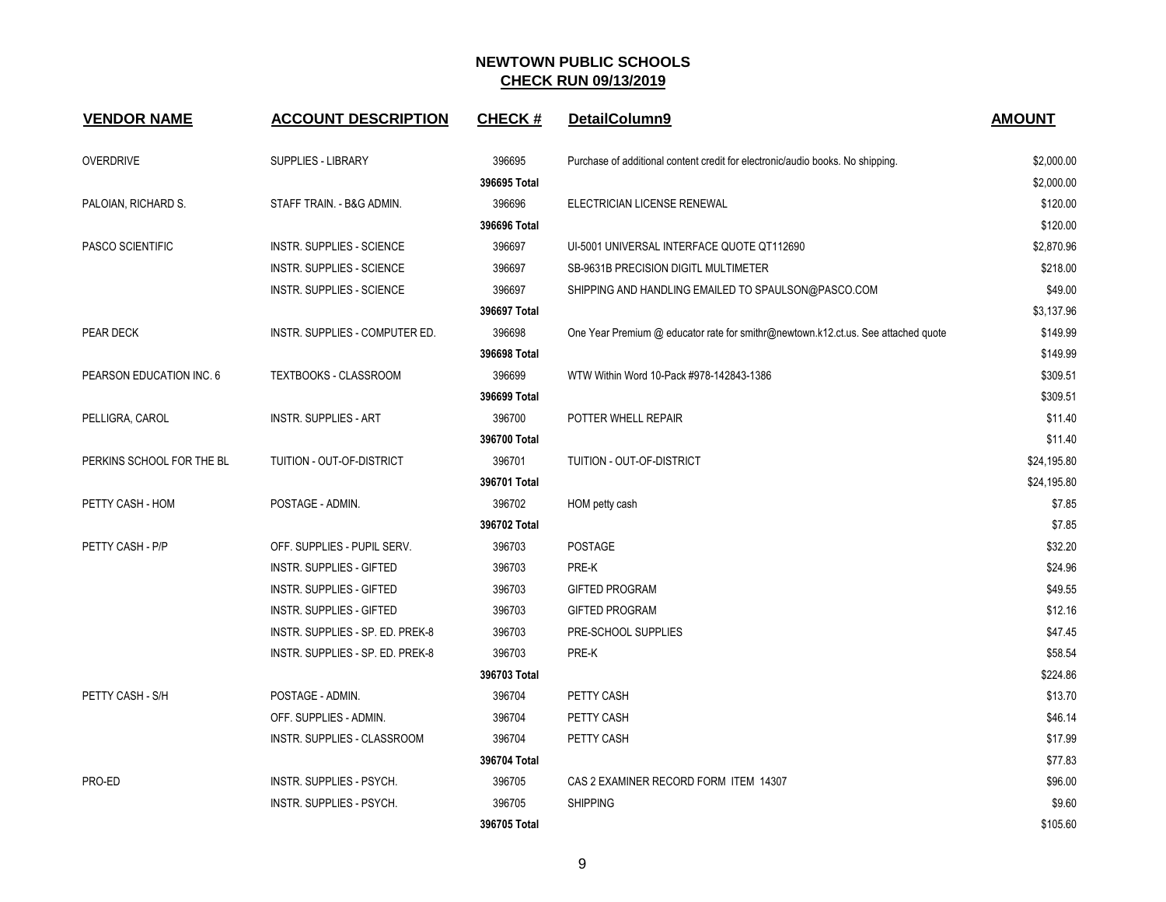| <b>VENDOR NAME</b>        | <b>ACCOUNT DESCRIPTION</b>       | <b>CHECK#</b> | DetailColumn9                                                                     | <b>AMOUNT</b> |
|---------------------------|----------------------------------|---------------|-----------------------------------------------------------------------------------|---------------|
| <b>OVERDRIVE</b>          | <b>SUPPLIES - LIBRARY</b>        | 396695        | Purchase of additional content credit for electronic/audio books. No shipping.    | \$2,000.00    |
|                           |                                  | 396695 Total  |                                                                                   | \$2,000.00    |
| PALOIAN, RICHARD S.       | STAFF TRAIN. - B&G ADMIN.        | 396696        | ELECTRICIAN LICENSE RENEWAL                                                       | \$120.00      |
|                           |                                  | 396696 Total  |                                                                                   | \$120.00      |
| <b>PASCO SCIENTIFIC</b>   | <b>INSTR. SUPPLIES - SCIENCE</b> | 396697        | UI-5001 UNIVERSAL INTERFACE QUOTE QT112690                                        | \$2,870.96    |
|                           | <b>INSTR. SUPPLIES - SCIENCE</b> | 396697        | SB-9631B PRECISION DIGITL MULTIMETER                                              | \$218.00      |
|                           | <b>INSTR. SUPPLIES - SCIENCE</b> | 396697        | SHIPPING AND HANDLING EMAILED TO SPAULSON@PASCO.COM                               | \$49.00       |
|                           |                                  | 396697 Total  |                                                                                   | \$3,137.96    |
| PEAR DECK                 | INSTR. SUPPLIES - COMPUTER ED.   | 396698        | One Year Premium @ educator rate for smithr@newtown.k12.ct.us. See attached quote | \$149.99      |
|                           |                                  | 396698 Total  |                                                                                   | \$149.99      |
| PEARSON EDUCATION INC. 6  | TEXTBOOKS - CLASSROOM            | 396699        | WTW Within Word 10-Pack #978-142843-1386                                          | \$309.51      |
|                           |                                  | 396699 Total  |                                                                                   | \$309.51      |
| PELLIGRA, CAROL           | <b>INSTR. SUPPLIES - ART</b>     | 396700        | POTTER WHELL REPAIR                                                               | \$11.40       |
|                           |                                  | 396700 Total  |                                                                                   | \$11.40       |
| PERKINS SCHOOL FOR THE BL | TUITION - OUT-OF-DISTRICT        | 396701        | <b>TUITION - OUT-OF-DISTRICT</b>                                                  | \$24,195.80   |
|                           |                                  | 396701 Total  |                                                                                   | \$24,195.80   |
| PETTY CASH - HOM          | POSTAGE - ADMIN.                 | 396702        | HOM petty cash                                                                    | \$7.85        |
|                           |                                  | 396702 Total  |                                                                                   | \$7.85        |
| PETTY CASH - P/P          | OFF. SUPPLIES - PUPIL SERV.      | 396703        | <b>POSTAGE</b>                                                                    | \$32.20       |
|                           | <b>INSTR. SUPPLIES - GIFTED</b>  | 396703        | PRE-K                                                                             | \$24.96       |
|                           | INSTR. SUPPLIES - GIFTED         | 396703        | <b>GIFTED PROGRAM</b>                                                             | \$49.55       |
|                           | <b>INSTR. SUPPLIES - GIFTED</b>  | 396703        | <b>GIFTED PROGRAM</b>                                                             | \$12.16       |
|                           | INSTR. SUPPLIES - SP. ED. PREK-8 | 396703        | PRE-SCHOOL SUPPLIES                                                               | \$47.45       |
|                           | INSTR. SUPPLIES - SP. ED. PREK-8 | 396703        | PRE-K                                                                             | \$58.54       |
|                           |                                  | 396703 Total  |                                                                                   | \$224.86      |
| PETTY CASH - S/H          | POSTAGE - ADMIN.                 | 396704        | PETTY CASH                                                                        | \$13.70       |
|                           | OFF. SUPPLIES - ADMIN.           | 396704        | PETTY CASH                                                                        | \$46.14       |
|                           | INSTR. SUPPLIES - CLASSROOM      | 396704        | PETTY CASH                                                                        | \$17.99       |
|                           |                                  | 396704 Total  |                                                                                   | \$77.83       |
| PRO-ED                    | INSTR. SUPPLIES - PSYCH.         | 396705        | CAS 2 EXAMINER RECORD FORM ITEM 14307                                             | \$96.00       |
|                           | INSTR. SUPPLIES - PSYCH.         | 396705        | <b>SHIPPING</b>                                                                   | \$9.60        |
|                           |                                  | 396705 Total  |                                                                                   | \$105.60      |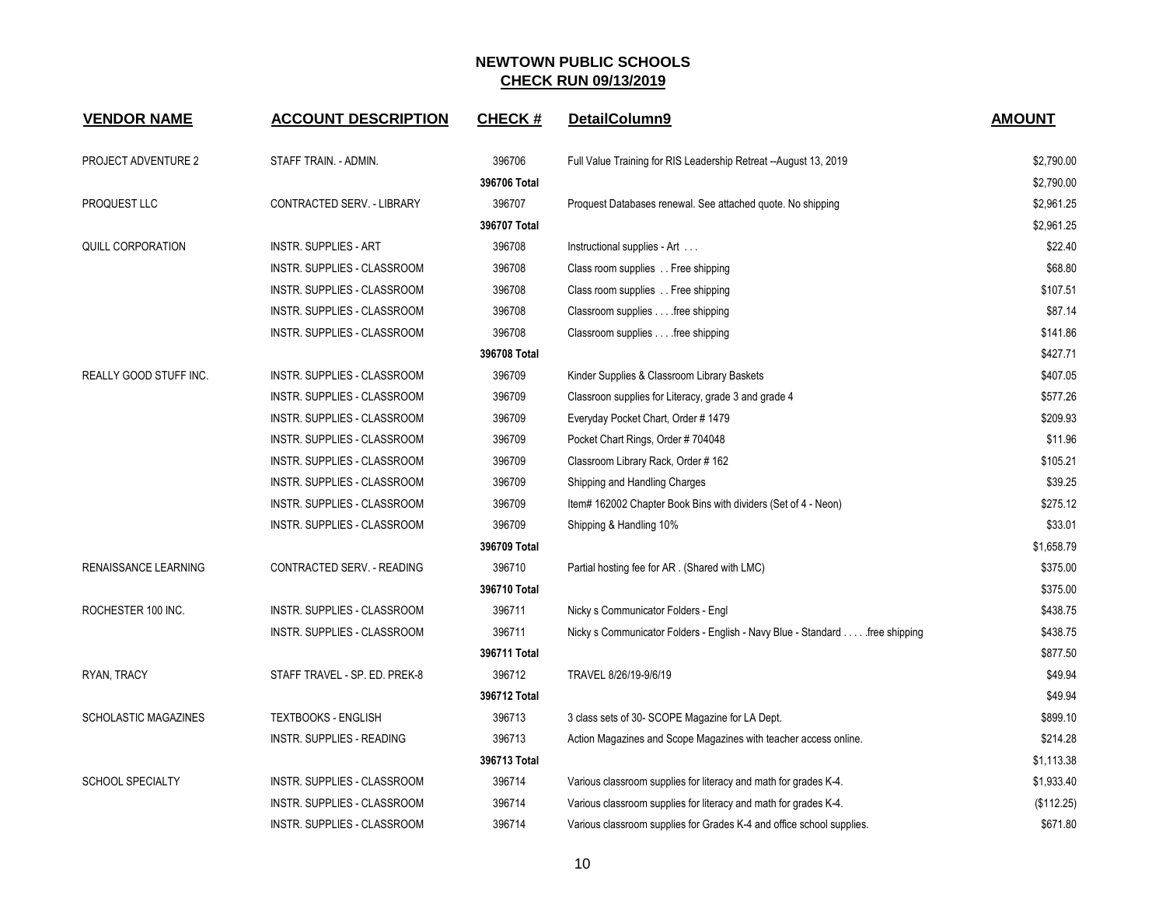| <b>VENDOR NAME</b>            | <b>ACCOUNT DESCRIPTION</b>       | <b>CHECK#</b> | DetailColumn9                                                               | <b>AMOUNT</b> |
|-------------------------------|----------------------------------|---------------|-----------------------------------------------------------------------------|---------------|
| PROJECT ADVENTURE 2           | STAFF TRAIN. - ADMIN.            | 396706        | Full Value Training for RIS Leadership Retreat --August 13, 2019            | \$2,790.00    |
|                               |                                  | 396706 Total  |                                                                             | \$2,790.00    |
| PROQUEST LLC                  | CONTRACTED SERV. - LIBRARY       | 396707        | Proquest Databases renewal. See attached quote. No shipping                 | \$2,961.25    |
|                               |                                  | 396707 Total  |                                                                             | \$2,961.25    |
| <b>QUILL CORPORATION</b>      | <b>INSTR. SUPPLIES - ART</b>     | 396708        | Instructional supplies - Art                                                | \$22.40       |
|                               | INSTR. SUPPLIES - CLASSROOM      | 396708        | Class room supplies Free shipping                                           | \$68.80       |
|                               | INSTR. SUPPLIES - CLASSROOM      | 396708        | Class room supplies Free shipping                                           | \$107.51      |
|                               | INSTR. SUPPLIES - CLASSROOM      | 396708        | Classroom supplies free shipping                                            | \$87.14       |
|                               | INSTR. SUPPLIES - CLASSROOM      | 396708        | Classroom supplies free shipping                                            | \$141.86      |
|                               |                                  | 396708 Total  |                                                                             | \$427.71      |
| <b>REALLY GOOD STUFF INC.</b> | INSTR. SUPPLIES - CLASSROOM      | 396709        | Kinder Supplies & Classroom Library Baskets                                 | \$407.05      |
|                               | INSTR. SUPPLIES - CLASSROOM      | 396709        | Classroon supplies for Literacy, grade 3 and grade 4                        | \$577.26      |
|                               | INSTR. SUPPLIES - CLASSROOM      | 396709        | Everyday Pocket Chart, Order # 1479                                         | \$209.93      |
|                               | INSTR. SUPPLIES - CLASSROOM      | 396709        | Pocket Chart Rings, Order #704048                                           | \$11.96       |
|                               | INSTR. SUPPLIES - CLASSROOM      | 396709        | Classroom Library Rack, Order # 162                                         | \$105.21      |
|                               | INSTR. SUPPLIES - CLASSROOM      | 396709        | Shipping and Handling Charges                                               | \$39.25       |
|                               | INSTR. SUPPLIES - CLASSROOM      | 396709        | Item# 162002 Chapter Book Bins with dividers (Set of 4 - Neon)              | \$275.12      |
|                               | INSTR. SUPPLIES - CLASSROOM      | 396709        | Shipping & Handling 10%                                                     | \$33.01       |
|                               |                                  | 396709 Total  |                                                                             | \$1,658.79    |
| <b>RENAISSANCE LEARNING</b>   | CONTRACTED SERV. - READING       | 396710        | Partial hosting fee for AR. (Shared with LMC)                               | \$375.00      |
|                               |                                  | 396710 Total  |                                                                             | \$375.00      |
| ROCHESTER 100 INC.            | INSTR. SUPPLIES - CLASSROOM      | 396711        | Nicky s Communicator Folders - Engl                                         | \$438.75      |
|                               | INSTR. SUPPLIES - CLASSROOM      | 396711        | Nicky s Communicator Folders - English - Navy Blue - Standard free shipping | \$438.75      |
|                               |                                  | 396711 Total  |                                                                             | \$877.50      |
| RYAN, TRACY                   | STAFF TRAVEL - SP. ED. PREK-8    | 396712        | TRAVEL 8/26/19-9/6/19                                                       | \$49.94       |
|                               |                                  | 396712 Total  |                                                                             | \$49.94       |
| <b>SCHOLASTIC MAGAZINES</b>   | <b>TEXTBOOKS - ENGLISH</b>       | 396713        | 3 class sets of 30- SCOPE Magazine for LA Dept.                             | \$899.10      |
|                               | <b>INSTR. SUPPLIES - READING</b> | 396713        | Action Magazines and Scope Magazines with teacher access online.            | \$214.28      |
|                               |                                  | 396713 Total  |                                                                             | \$1,113.38    |
| <b>SCHOOL SPECIALTY</b>       | INSTR. SUPPLIES - CLASSROOM      | 396714        | Various classroom supplies for literacy and math for grades K-4.            | \$1,933.40    |
|                               | INSTR. SUPPLIES - CLASSROOM      | 396714        | Various classroom supplies for literacy and math for grades K-4.            | (\$112.25)    |
|                               | INSTR. SUPPLIES - CLASSROOM      | 396714        | Various classroom supplies for Grades K-4 and office school supplies.       | \$671.80      |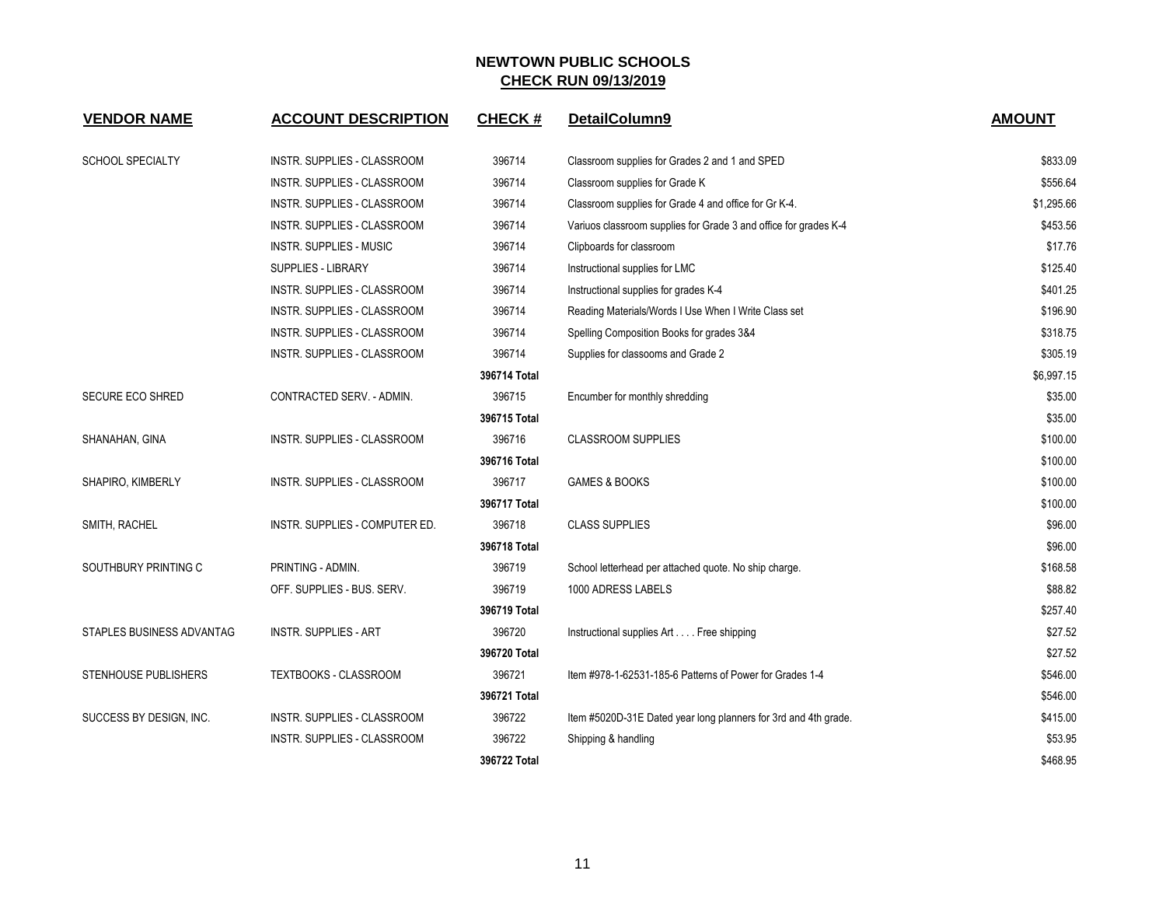| <b>VENDOR NAME</b>        | <b>ACCOUNT DESCRIPTION</b>     | <b>CHECK#</b> | DetailColumn9                                                    | <b>AMOUNT</b> |
|---------------------------|--------------------------------|---------------|------------------------------------------------------------------|---------------|
| <b>SCHOOL SPECIALTY</b>   | INSTR. SUPPLIES - CLASSROOM    | 396714        | Classroom supplies for Grades 2 and 1 and SPED                   | \$833.09      |
|                           | INSTR. SUPPLIES - CLASSROOM    | 396714        | Classroom supplies for Grade K                                   | \$556.64      |
|                           | INSTR. SUPPLIES - CLASSROOM    | 396714        | Classroom supplies for Grade 4 and office for Gr K-4.            | \$1,295.66    |
|                           | INSTR. SUPPLIES - CLASSROOM    | 396714        | Variuos classroom supplies for Grade 3 and office for grades K-4 | \$453.56      |
|                           | <b>INSTR. SUPPLIES - MUSIC</b> | 396714        | Clipboards for classroom                                         | \$17.76       |
|                           | <b>SUPPLIES - LIBRARY</b>      | 396714        | Instructional supplies for LMC                                   | \$125.40      |
|                           | INSTR. SUPPLIES - CLASSROOM    | 396714        | Instructional supplies for grades K-4                            | \$401.25      |
|                           | INSTR. SUPPLIES - CLASSROOM    | 396714        | Reading Materials/Words I Use When I Write Class set             | \$196.90      |
|                           | INSTR. SUPPLIES - CLASSROOM    | 396714        | Spelling Composition Books for grades 3&4                        | \$318.75      |
|                           | INSTR. SUPPLIES - CLASSROOM    | 396714        | Supplies for classooms and Grade 2                               | \$305.19      |
|                           |                                | 396714 Total  |                                                                  | \$6,997.15    |
| SECURE ECO SHRED          | CONTRACTED SERV. - ADMIN.      | 396715        | Encumber for monthly shredding                                   | \$35.00       |
|                           |                                | 396715 Total  |                                                                  | \$35.00       |
| SHANAHAN, GINA            | INSTR. SUPPLIES - CLASSROOM    | 396716        | <b>CLASSROOM SUPPLIES</b>                                        | \$100.00      |
|                           |                                | 396716 Total  |                                                                  | \$100.00      |
| SHAPIRO, KIMBERLY         | INSTR. SUPPLIES - CLASSROOM    | 396717        | GAMES & BOOKS                                                    | \$100.00      |
|                           |                                | 396717 Total  |                                                                  | \$100.00      |
| SMITH, RACHEL             | INSTR. SUPPLIES - COMPUTER ED. | 396718        | <b>CLASS SUPPLIES</b>                                            | \$96.00       |
|                           |                                | 396718 Total  |                                                                  | \$96.00       |
| SOUTHBURY PRINTING C      | PRINTING - ADMIN.              | 396719        | School letterhead per attached quote. No ship charge.            | \$168.58      |
|                           | OFF. SUPPLIES - BUS. SERV.     | 396719        | 1000 ADRESS LABELS                                               | \$88.82       |
|                           |                                | 396719 Total  |                                                                  | \$257.40      |
| STAPLES BUSINESS ADVANTAG | <b>INSTR. SUPPLIES - ART</b>   | 396720        | Instructional supplies Art Free shipping                         | \$27.52       |
|                           |                                | 396720 Total  |                                                                  | \$27.52       |
| STENHOUSE PUBLISHERS      | TEXTBOOKS - CLASSROOM          | 396721        | Item #978-1-62531-185-6 Patterns of Power for Grades 1-4         | \$546.00      |
|                           |                                | 396721 Total  |                                                                  | \$546.00      |
| SUCCESS BY DESIGN, INC.   | INSTR. SUPPLIES - CLASSROOM    | 396722        | Item #5020D-31E Dated year long planners for 3rd and 4th grade.  | \$415.00      |
|                           | INSTR. SUPPLIES - CLASSROOM    | 396722        | Shipping & handling                                              | \$53.95       |
|                           |                                | 396722 Total  |                                                                  | \$468.95      |